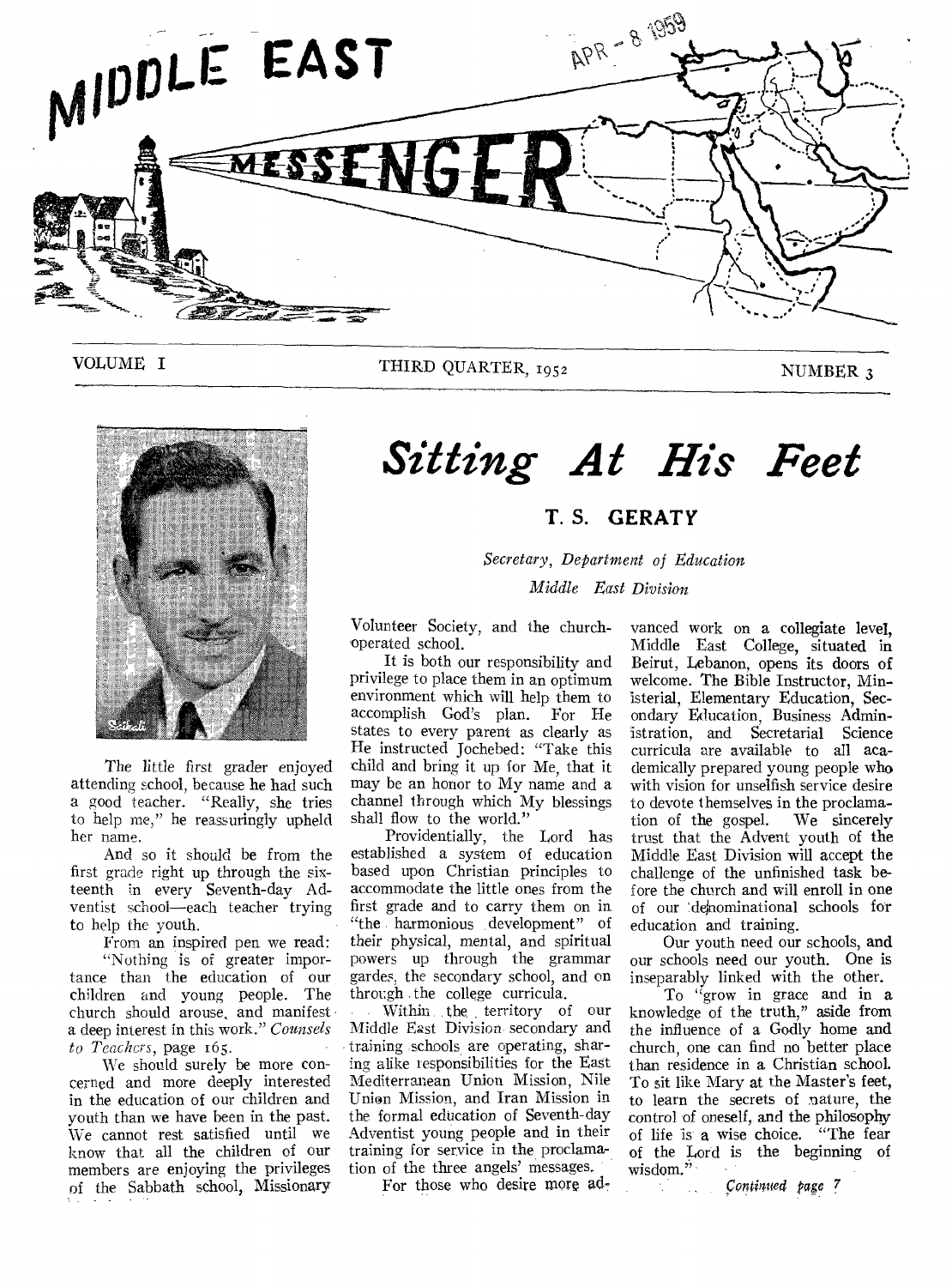

VOLUME I THIRD QUARTER, 1952 NUMBER 3



The little first grader enjoyed attending school, because he had such a good teacher. "Really, she tries to help me," he reassuringly upheld her name.

And so it should be from the first grade right up through the sixteenth in every Seventh-day Adventist school—each teacher trying to help the youth.

From an inspired pen we read: "Nothing is of greater importance than the education of our children and young people. The church should arouse, and manifest a deep interest in this work." *Counsels to Teachers,* page 165.

We should surely be more concerned and more deeply interested in the education of our children and youth than we have been in the past. We cannot rest satisfied until we know that all the children of our members are enjoying the privileges of the Sabbath school, Missionary

# *Sitting At His Feet*

## **T. S. GERATY**

*Secretary, Department of Education Middle East Division* 

Volunteer Society, and the churchoperated school.

It is both our responsibility and privilege to place them in an optimum environment which will help them to accomplish God's plan. For He states to every parent as clearly as He instructed Jochebed: "Take this child and bring it up for Me, that it may be an honor to My name and a channel through which My blessings shall flow to the world."

Providentially, the Lord has established a system of education based upon Christian principles to accommodate the little ones from the first grade and to carry them on in "the harmonious development" of their physical, mental, and spiritual powers up through the grammar gardes, the secondary school, and on through the college curricula.

Within the territory of our Middle East Division secondary and training schools are operating, sharing alike responsibilities for the East Mediterranean Union Mission, Nile Union Mission, and Iran Mission in the formal education of Seventh-day Adventist young people and in their training for service in the proclamation of the three angels' messages.

For those who desire more ad-

vanced work on a collegiate level, Middle East College, situated in Beirut, Lebanon, opens its doors of welcome. The Bible Instructor, Ministerial, Elementary Education, Secondary Education, Business Administration, and Secretarial Science curricula are available to all academically prepared young people who with vision for unselfish service desire to devote themselves in the proclama-<br>tion of the gospel. We sincerely tion of the gospel. trust that the Advent youth of the Middle East Division will accept the challenge of the unfinished task before the church and will enroll in one of our 'dejnominational schools for education and training.

Our youth need our schools, and our schools need our youth. One is inseparably linked with the other.

To "grow in grace and in a knowledge of the truth," aside from the influence of a Godly home and church, one can find no better place than residence in a Christian school. To sit like Mary at the Master's feet, to learn the secrets of nature, the control of oneself, and the philosophy of life is a wise choice. "The fear of the Lord is the beginning of wisdom,"

*comilmed page* 7  $\mathcal{L} = \mathcal{L}$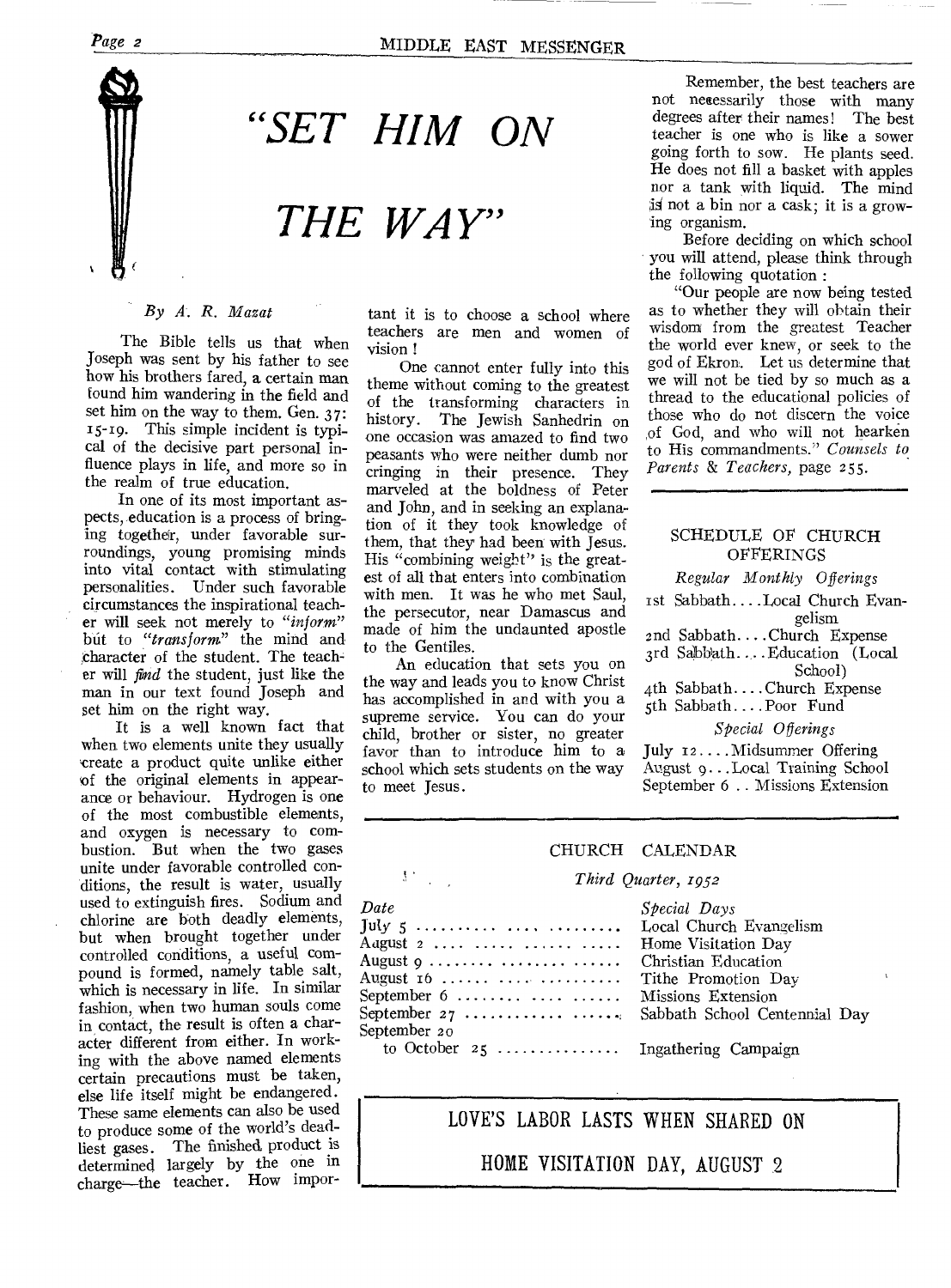## *Page 2* MIDDLE EAST MESSENGER



*"SET HIM ON* 

## *THE WAY"*

#### *By A. R. Mazat*

The Bible tells us that when Joseph was sent by his father to see how his brothers fared, a certain man found him wandering in the field and set him on the way to them. Gen. 37: 15-19. This simple incident is typical of the decisive part personal influence plays in life, and more so in the realm of true education.

In one of its most important aspects, education is a process of bringing together, under favorable surroundings, young promising minds into vital contact with stimulating personalities. Under such favorable circumstances the inspirational teacher will seek not merely to *"inform"*  but to *"transform"* the mind and character of the student. The teacher will *find* the student, just like the man in our text found Joseph and set him on the right way.

It is a well known fact that when two elements unite they usually create a product quite unlike either of the original elements in appearance or behaviour. Hydrogen is one of the most combustible elements, and oxygen is necessary to combustion. But when the two gases unite under favorable controlled conditions, the result is water, usually used to extinguish fires. Sodium and chlorine are both deadly elements, but when brought together under controlled conditions, a useful compound is formed, namely table salt, which is necessary in life. In similar fashion, when two human souls come in contact, the result is often a character different from either. In working with the above named elements certain precautions must be taken, else life itself might be endangered. These same elements can also be used to produce some of the world's deadliest gases. The finished product is determined largely by the one in charge—the teacher. How impor-

tant it is to choose a school where teachers are men and women of vision !

One cannot enter fully into this theme without coming to the greatest of the transforming characters in history. The Jewish Sanhedrin on one occasion was amazed to find two peasants who were neither dumb nor cringing in their presence. They marveled at the boldness of Peter and John, and in seeking an explanation of it they took knowledge of them, that they' had been with Jesus. His "combining weight" is the greatest of all that enters into combination with men. It was he who met Saul, the persecutor, near Damascus and made of him the undaunted apostle to the Gentiles.

An education that sets you on the way and leads you to know Christ has accomplished in and with you a supreme service. You can do your child, brother or sister, no greater favor than to introduce him to a school which sets students on the way to meet Jesus.

 $\mathcal{V}^{\infty}$ 

Remember, the best teachers are not necessarily those with many degrees after their names! The best teacher is one who is like a sower going forth to sow. He plants seed. He does not fill a basket with apples nor a tank with liquid. The mind is not a bin nor a cask; it is a growing organism.

Before deciding on which school you will attend, please think through the following quotation :

"Our people are now being tested as to whether they will obtain their wisdom from the greatest Teacher the world ever knew, or seek to the god of Ekron. Let us determine that we will not be tied by so much as a thread to the educational policies of those who do not discern the voice of God, and who will not hearken to His commandments." *Counsels to Parents & Teachers, page 255.* 

#### SCHEDULE OF CHURCH OFFERINGS

*Regular Monthly Offerings* 

1st Sabbath. ...Local Church Evangelism

znd Sabbath. ... Church Expense

3rd Sabbath ... Education (Local

- School) 4th Sabbath....Church Expense
- 5th Sabbath... .Poor Fund

*Special Offerings* 

July 12.... Midsummer Offering August 9...Local Training School September 6 .. Missions Extension

#### CHURCH CALENDAR

#### *Third Quarter, 1952*

| Date                                | Special Days        |
|-------------------------------------|---------------------|
| July 5    Local Church Evangelism   |                     |
| August 2                            | Home Visitation Day |
| August 9   Christian Education      |                     |
|                                     |                     |
| September 6   Missions Extension    |                     |
|                                     |                     |
| September 20                        |                     |
| to October 25  Ingathering Campaign |                     |

## LOVE'S LABOR LASTS WHEN SHARED ON

HOME VISITATION DAY, AUGUST 2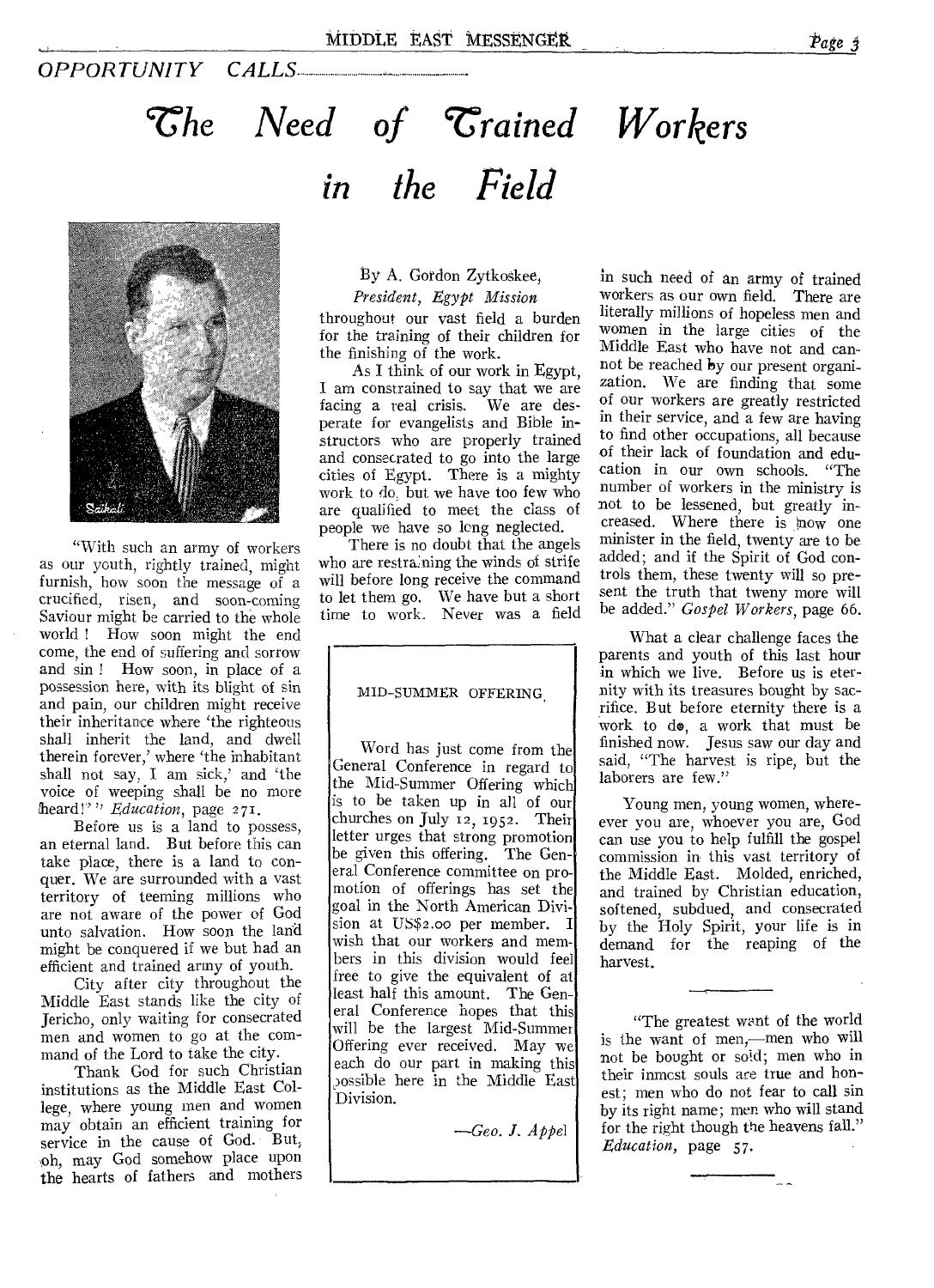## *OPPORTUNITY CALLS*

# $\mathcal{T}$ he Need of  $\mathcal{T}$ rained Workers *in the Field*



"With such an army of workers as our youth, rightly trained, might furnish, how soon the message of a crucified, risen, and soon-coming Saviour might be carried to the whole world ! How soon might the end come, the end of suffering and sorrow and sin ! How soon, in place of a possession here, with its blight of sin and pain, our children might receive their inheritance where 'the righteous shall inherit the land, and dwell therein forever,' where 'the inhabitant shall not say, I am sick,' and 'the voice of weeping shall be no more heard!"" *Education*, page 271.

Before us is a land to possess, an eternal land. But before this can take place, there is a land to conquer. We are surrounded with a vast territory of teeming millions who are not aware of the power of God unto salvation. How soon the land might be conquered if we but had an efficient and trained army of youth.

City after city throughout the Middle East stands like the city of Jericho, only waiting for consecrated men and women to go at the command of the Lord to take the city.

Thank God for such Christian institutions as the Middle East College, where young men and women may obtain an efficient training for service in the cause of God. But, ,oh, may God somehow place upon the hearts of fathers and mothers

By A. Gordon Zytkoskee, *President, Egypt Mission* 

throughout our vast field a burden for the training of their children for the finishing of the work.

As I think of our work in Egypt, I am constrained to say that we are facing a real crisis. We are desperate for evangelists and Bible instructors who are properly trained and consecrated to go into the large cities of Egypt. There is a mighty work to do, but we have too few who are qualified to meet the class of people we have so long neglected.

There is no doubt that the angels who are restraining the winds of strife will before long receive the command to let them go. We have but a short time to work. Never was a field

#### MID-SUMMER OFFERING,

Word has just come from the General Conference in regard to the Mid-Summer Offering which is to be taken up in all of our churches on July 12, 1952. Their letter urges that strong promotion be given this offering. The General Conference committee on promotion of offerings has set the goal in the North American Division at USS2.00 per member. I wish that our workers and members in this division would feel free to give the equivalent of at least half this amount. The General Conference hopes that this will be the largest Mid-Summer Offering ever received. May we each do our part in making this possible here in the Middle East Division.

*—Geo. J. Appel* 

*in* such need of an army of trained workers as our own field. There are literally millions of hopeless men and women in the large cities of the Middle East who have not and cannot be reached by our present organization. We are finding that some of our workers are greatly restricted in their service, and a few are having to find other occupations, all because of their lack of foundation and education in our own schools. "The number of workers in the ministry is not to be lessened, but greatly increased. Where there is now one minister in the field, twenty are to be added; and if the Spirit of God controls them, these twenty will so present the truth that tweny more will be added." *Gospel Workers,* page 66.

What a clear challenge faces the parents and youth of this last hour in which we live. Before us is eternity with its treasures bought by sacrifice. But before eternity there is a work to de, a work that must be finished now. Jesus saw our day and said, "The harvest is ripe, but the laborers are few."

Young men, young women, whereever you are, whoever you are, God can use you to help fulfill the gospel commission in this vast territory of the Middle East. Molded, enriched, and trained by Christian education, softened, subdued, and consecrated by the Holy Spirit, your life is in demand for the reaping of the harvest.

"The greatest want of the world is the want of men,—men who will not be bought or sold; men who in their inmost souls ace true and honest; men who do not fear to call sin by its right name; men who will stand for the right though the heavens fall." *Education,* page 57.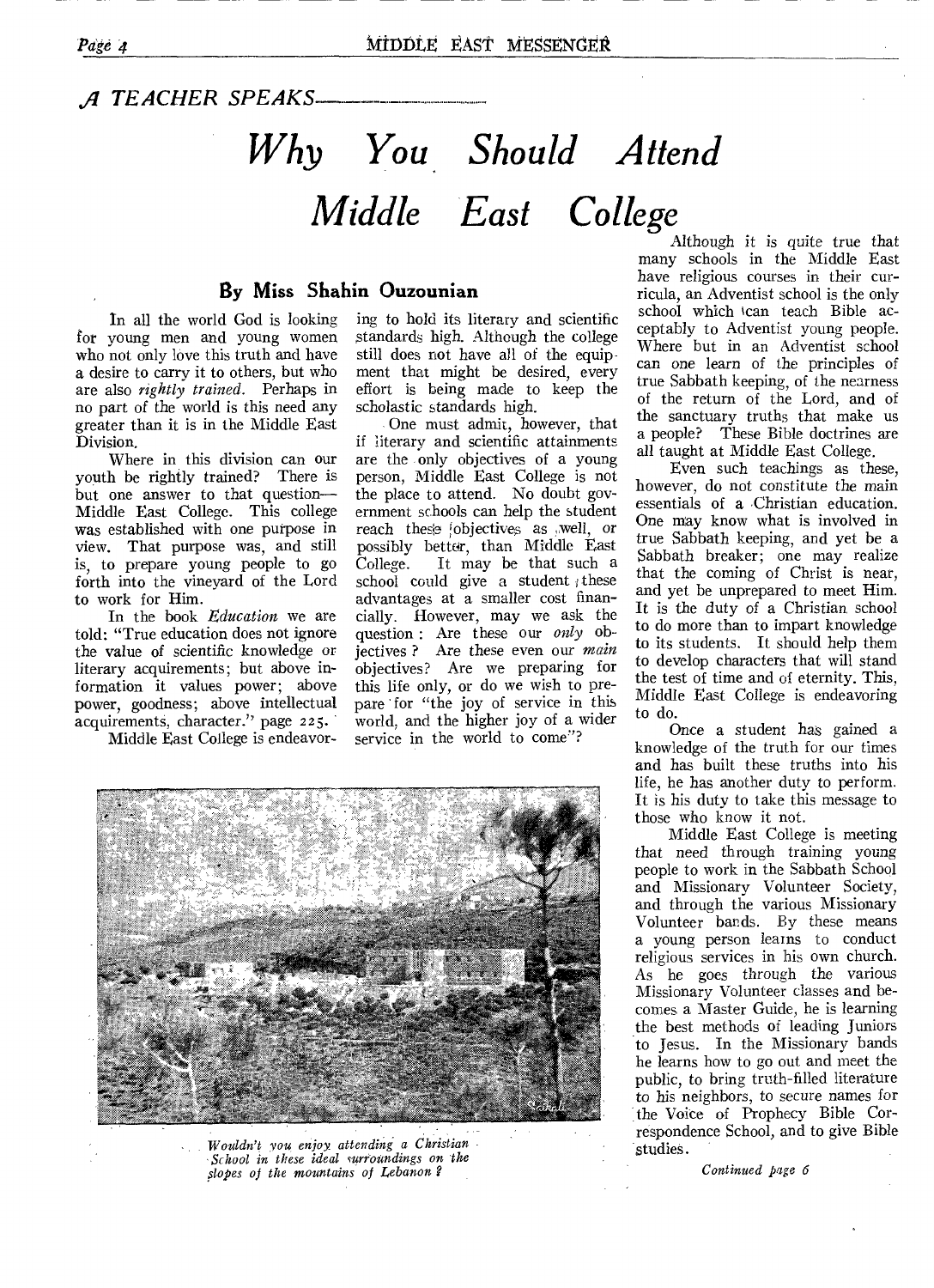.g *TEACHER SPEAKS* 

# *Why You Should Attend Middle East College*

## **By Miss Shahin Ouzounian**

In all the world God is looking for young men and young women who not only love this truth and have a desire to carry it to others, but who are also *rightly trained.* Perhaps in no part of the world is this need any greater than it is in the Middle East Division.

Where in this division can our youth be rightly trained? There is but one answer to that question— Middle East College. This college was established with one purpose in view. That purpose was, and still is, to prepare young people to go forth into the vineyard of the Lord to work for Him.

In the book *Education* we are told: "True education does not ignore the value of scientific knowledge or literary acquirements; but above information it values power; above power, goodness; above intellectual power, governous, character." page 225.

Middle East College is endeavor-

ing to hold its literary and scientific standards high. Although the college still does not have all of the equipment that might be desired, every effort is being made to keep the scholastic standards high.

One must admit, however, that if literary and scientific attainments are the only objectives of a young person, Middle East College is not the place to attend. No doubt government schools can help the student reach these objectives as well, or possibly better, than Middle East<br>College. It may be that such a It may be that such a school could give a student these advantages at a smaller cost financially. However, may we ask the question : Are these our *only* objectives ? Are these even our *main*  objectives? Are we preparing for this life only, or do we wish to prepare 'for "the joy of service in this world, and the higher joy of a wider service in the world to come"?



Although it is quite *true* that many schools in the Middle East have religious courses in their curricula, an Adventist school is the only school which kan teach Bible acceptably to Adventist young people. Where but in an Adventist school can one learn of the principles of true Sabbath keeping, of the nearness of the return of the Lord, and of the sanctuary truths that make us a people? These Bible doctrines are all taught at Middle East College.

Even such teachings as these, however, do not constitute the main essentials of a Christian education. One may know what is involved in true Sabbath keeping, and yet be a Sabbath breaker; one may realize that the coming of Christ is near, and yet be unprepared to meet Him. It is the duty of a Christian, school to do more than to impart knowledge to its students. It should help them to develop characters that will stand the test of time and of eternity. This, Middle East College is endeavoring to do.

Once a student has gained a knowledge of the truth for our times and has built these truths into his life, he has another duty to perform. It is his duty to take this message to those who know it not.

Middle East College is meeting that need through training young people to work in the Sabbath School and Missionary Volunteer Society, and through the various Missionary Volunteer bands. By these means a young person learns to conduct religious services in his own church. As he goes through the various Missionary Volunteer classes and becomes a Master Guide, he is learning the best methods of leading Juniors to Jesus. In the Missionary bands he learns how to go out and meet the public, to bring truth-filled literature to his neighbors, to secure names for the Voice of Prophecy Bible Correspondence School, and to give Bible studies.

*Continued page 6* 



*School in these ideal surroundings on the slopes of the mountains of Lebanon ?*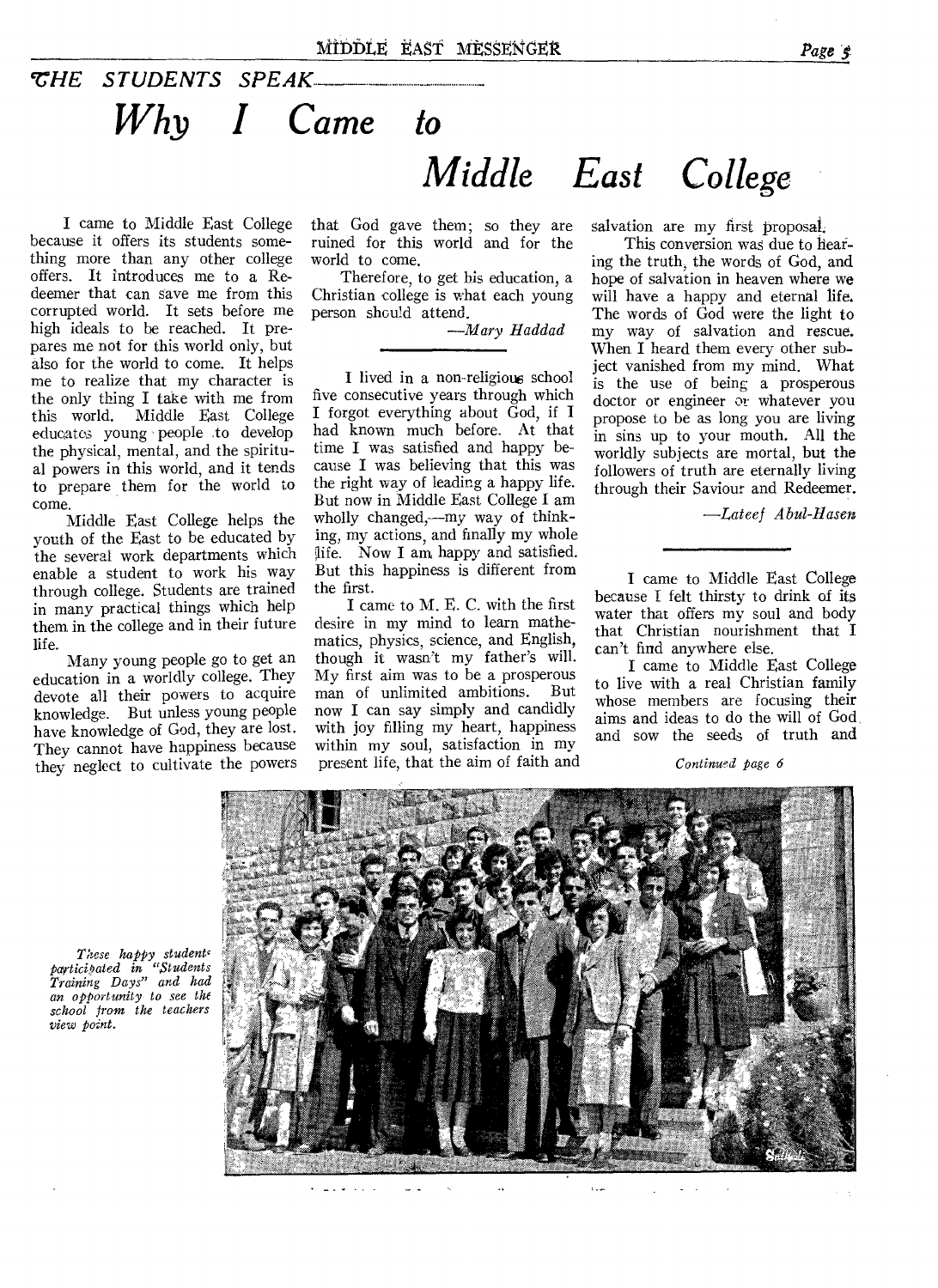## *VHE STUDENTS SPEAK Why I Came to Middle East College*

I came to Middle East College because it offers its students something more than any other college offers. It introduces me to a Redeemer that can save me from this corrupted world. It sets before me high ideals to be reached. It prepares me not for this world only, but also for the world to come. It helps me to realize that my character is the only thing I take with me from<br>this world. Middle East College Middle East College educatos young people to develop the physical, mental, and the spiritual powers in this world, and it tends to prepare them for the world to come.

Middle East College helps the youth of the East to be educated by the several work departments which enable a student to work his way through college. Students are trained in many practical things which help them in the college and in their future life.

Many young people go to get an education in a worldly college. They devote all their powers to acquire knowledge. But unless young people have knowledge of God, they are lost. They cannot have happiness because they neglect to cultivate the powers that God gave them; so they are ruined for this world and for the world to come.

Therefore, to get his education, a Christian college is what each young person should attend.

*—Mary Haddad* 

I lived in a non-religious school five consecutive years through which I forgot everything about God, if I had known much before. At that time I was satisfied and happy because I was believing that this was the right way of leading a happy life. But now in Middle East College I am wholly changed,—my way of thinking, my actions, and finally my whole ife. Now I am happy and satisfied. But this happiness is different from the first.

I came to M. E. C. with the first desire in my mind to learn mathematics, physics, science, and English, though it wasn't my father's will. My first aim was to be a prosperous man of unlimited ambitions. But now I can say simply and candidly with joy filling my heart, happiness within my soul, satisfaction in my present life, that the aim of faith and

salvation are my first proposal.

This conversion was due to hearing the truth, the words of God, and hope of salvation in heaven where we will have a happy and eternal life. The words of God were the light to my way of salvation and rescue. When I heard them every other subject vanished from my mind. What is the use of being a prosperous doctor or engineer *or* whatever you propose to be as long you are living in sins up to your mouth. All the worldly subjects are mortal, but the followers of truth are eternally living through their Saviour and Redeemer.

*—Lateef Abul-Haseu* 

I came to Middle East College because I felt thirsty to drink of its water that offers my soul and body that Christian nourishment that I can't find anywhere else.

I came to Middle East College to live with a real Christian family whose members are focusing their aims and ideas to do the will of God, and sow the seeds of truth and

*Continued page 6* 



*These happy student participated in "Students Training Days" and had an opportunity to see the school from the teachers view point.*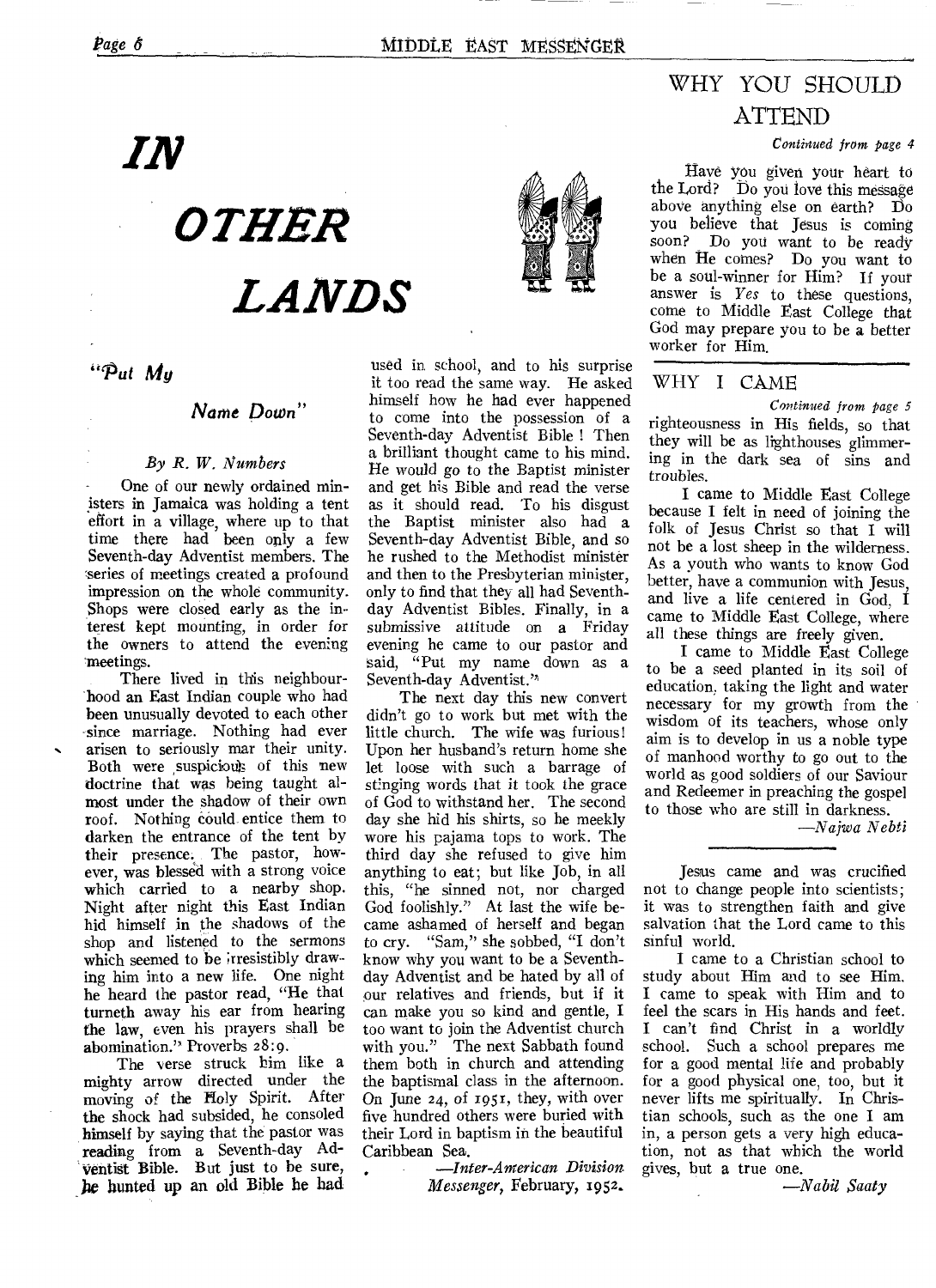## WHY YOU SHOULD ATTEND

*Continued from page 4* 

Have you given your heart to the Lord? Do you love this message above anything else on earth? Do you believe that Jesus is coming<br>soon? Do you want to be ready Do you want to be ready when He comes? Do you want to be a soul-winner for Him? If your answer is *Yes* to these questions, come to Middle East College that God may prepare you to be a better worker for Him.

### WHY I CAME

*Continued from page 5*  righteousness in His fields, so that they will be as lighthouses glimmering in the dark sea of sins and troubles.

I came to Middle East College because I felt in need of joining the folk of Jesus Christ so that I will not be a lost sheep in the wilderness. As a youth who wants to know God better, have a communion with Jesus, and live a life centered in God, I came to Middle East College, where all these things are freely given.

I came to Middle East College to be a seed planted in its soil of education, taking the light and water necessary for my growth from the wisdom of its teachers, whose only aim is to develop in us a noble type of manhood worthy to go out to the world as good soldiers of our Saviour and Redeemer in preaching the gospel to those who are still in darkness.

*—Najwa Nebti* 

Jesus came and was crucified not to change people into scientists; it was to strengthen faith and give salvation that the Lord came to this sinful world.

I came to a Christian school to study about Him and to see Him. I came to speak with Him and to feel the scars in His hands and feet. I can't find Christ in a worldly school. Such a school prepares me for a good mental life and probably for a good physical one, too, but it never lifts me spiritually. In Christian schools, such as the one I am in, a person gets a very high education, not as that which the world gives, but a true one.

*—Nabil Saaty* 

IN

*OTHER LANDS* 

**-** *Put My* 

### *Name Down"*

### *By R. W. Numbers*

One of our newly ordained ministers in Jamaica was holding a tent effort in a village, where up to that time there had been only a few Seventh-day Adventist members. The series of meetings created a profound impression on the whole community. Shops were closed early as the interest kept mounting, in order for the owners to attend the evening meetings.

There lived in this neighbourhood an East Indian couple who had been unusually devoted to each other since marriage. Nothing had ever arisen to seriously mar their unity. Both were suspicious of this new doctrine that was being taught almost under the shadow of their own roof. Nothing could entice them to darken the entrance of the tent by their presence. The pastor, however, was blessed with a strong voice which carried to a nearby shop. Night after night this East Indian hid himself in the shadows of the shop and listened to the sermons which seemed to be irresistibly drawing him into a new life. One night he heard the pastor read, "He that turneth away his ear from hearing the law, even his prayers shall be abomination." Proverbs 28:9.

The verse struck him like a mighty arrow directed under the moving of the Holy Spirit. After the shock had subsided, he consoled himself by saying that the pastor was reading from a Seventh-day Ad-Ventist Bible. But just to be sure, he hunted up an old Bible he had

used in school, and to his surprise it too read the same way. He asked himself how he had ever happened to come into the possession of a Seventh-day Adventist Bible ! Then a brilliant thought came to his mind. He would go to the Baptist minister and get his Bible and read the verse as it should read. To his disgust the Baptist minister also had a Seventh-day Adventist Bible, and so he rushed to the Methodist minister and then to the Presbyterian minister, only to find that they all had Seventhday Adventist Bibles. Finally, in a submissive attitude on a Friday evening he came to our pastor and said, "Put my name down as a Seventh-day Adventist.'

The next day this new convert didn't go to work but met with the little church. The wife was furious! Upon her husband's return home she let loose with such a barrage of stinging words that it took the grace of God to withstand her. The second day she hid his shirts, so he meekly wore his pajama tops to work. The third day she refused to give him anything to eat; but like Job, in all this, "he sinned not, nor charged God foolishly." At last the wife became ashamed of herself and began to cry. "Sam," she sobbed, "I don't know why you want to be a Seventhday Adventist and be hated by all of our relatives and friends, but if it can make you so kind and gentle, I too want to join the Adventist church with you." The next Sabbath found them both in church and attending the baptismal class in the afternoon. On June 24, of 1951, they, with over five hundred others were buried with their Lord in baptism in the beautiful Caribbean Sea.

> *—Inter-American Division Messenger,* February, 1952.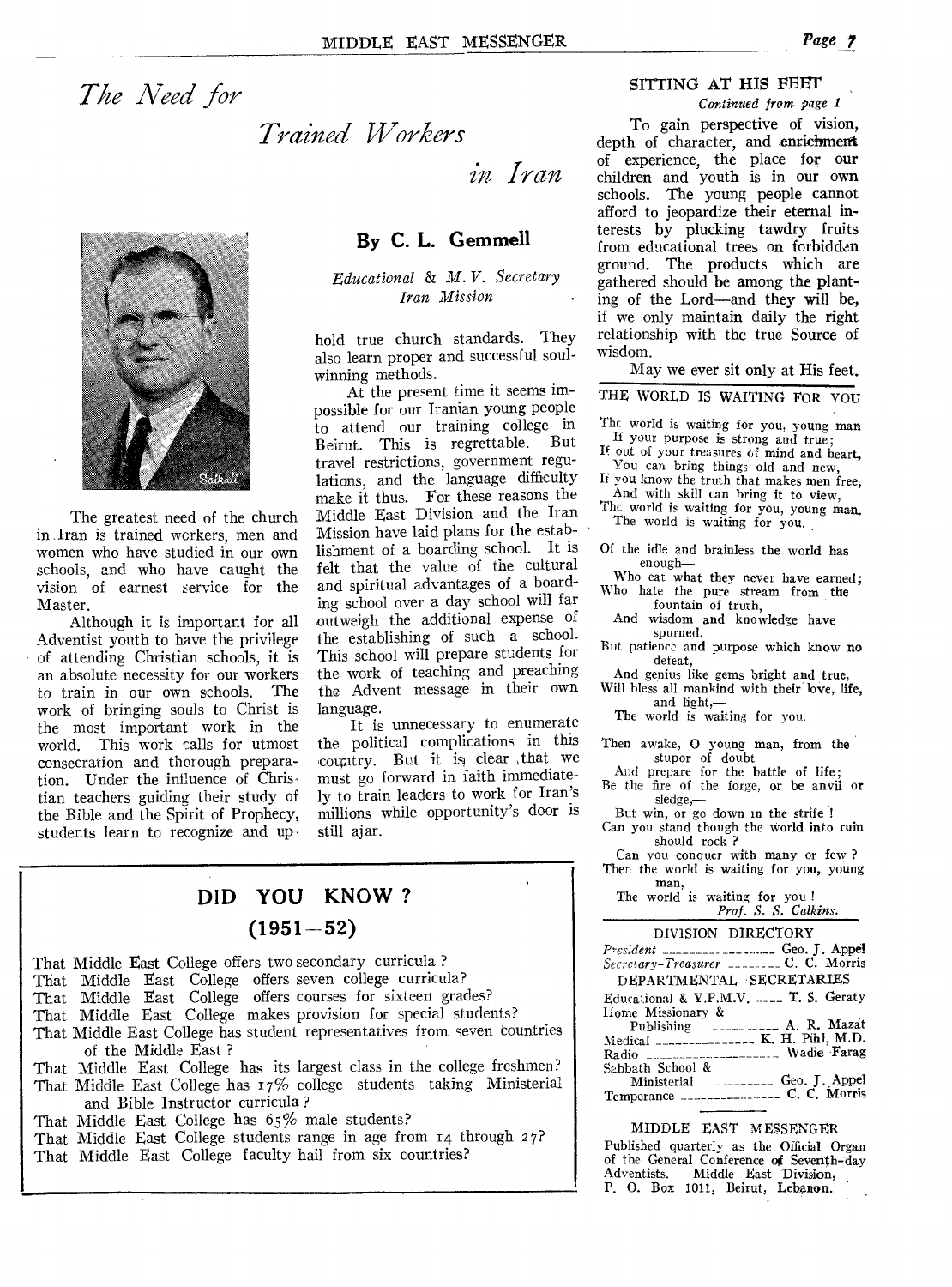*The Need for* 

## *Trained Workers*

*in Iran* 



The greatest need of the church in Iran is trained workers, men and women who have studied in our own schools, and who have caught the vision of earnest service for the Master.

Although it is important for all Adventist youth to have the privilege of attending Christian schools, it is an absolute necessity for our workers<br>to train in our own schools. The to train in our own schools. work of bringing souls to Christ is the most important work in the world. This work calls for utmost consecration and thorough preparation. Under the influence of Christian teachers guiding their study of the Bible and the Spirit of Prophecy, students learn to recognize and up •

## **By C. L. Gemmell**

*Educational & M. V. Secretary Iran Mission* 

hold true church standards. They also learn proper and successful soulwinning methods.

At the present time it seems impossible for our Iranian young people to attend our training college in<br>Reinut This is regrettable. But Beirut. This is regrettable. travel restrictions, government regulations, and the language difficulty make it thus. For these reasons the Middle East Division and the Iran Mission have laid plans for the establishment of a boarding school. It is felt that the value of the cultural and spiritual advantages of a boarding school over a day school will far outweigh the additional expense of the establishing of such a school. This school will prepare students for the work of teaching and preaching the Advent message in their own language.

It is unnecessary to enumerate the political complications in this country. But it is clear ,that we must go forward in iaith immediately to train leaders to work for Iran's millions while opportunity's door is still ajar.

## **DID YOU KNOW ? (1951-52)**

That Middle East College offers two secondary curricula ? That Middle East College offers seven college curricula? That Middle East College offers courses for sixteen grades? That Middle East College makes provision for special students? That Middle East College has student representatives from seven countries of the Middle East ? That Middle East College has its largest class in the college freshmen? That Middle East College has 17% college students taking Ministerial and Bible Instructor curricula ? That Middle East College has 65% male students? That Middle East College students range in age from 14 through 27? That Middle East College faculty hail from six countries?

## SITTING AT HIS FEET

*Continued from page 1* 

To gain perspective of vision, depth of character, and enrichment of experience, the place for our children and youth is in our own schools. The young people cannot afford to jeopardize their eternal interests by plucking tawdry fruits from educational trees on forbidden ground. The products which are gathered should be among the planting of the Lord—and they will be, if we only maintain daily the right relationship with the true Source of wisdom.

May we ever sit only at His feet.

THE WORLD IS WAITING FOR YOU

- The world is waiting for you, young man If your purpose is strong and true;
- If out of your treasures of mind and heart, You can bring things old and new,
- If you know the truth that makes men free, And with skill can bring it to view,

The world is waiting for you, young man, The world is waiting for you.

Of the idle and brainless the world has enough—

Who eat what they never have earned; Who hate the pure stream from the

fountain of truth, And wisdom and knowledge have spurned.

- But patience and purpose which know no defeat,
- And genius like gems bright and true, Will bless all mankind with their love, life,
- and light,—

The world is waiting for you.

- Then awake, 0 young man, from the
	- stupor of doubt And prepare for the battle of life;
- Be the fire of the forge, or be anvil or sledge,—
- But win, or go down in the strife ! Can you stand though the world into ruin should rock ?

Can you conquer with many or few ? Then the world is waiting for you, young

man, The world is waiting for you ! *Prof. S. S. Calkins.* 

| DIVISION DIRECTORY                              |
|-------------------------------------------------|
| $P$ resident ____________________ Geo. J. Appel |
| Secretary-Treasurer ________ C. C. Morris       |
| DEPARTMENTAL SECRETARIES                        |
| Educational & Y.P.M.V.  T. S. Geraty            |
| Home Missionary &                               |
| Publishing _______ _____ A. R. Mazat            |
| Medical __________________ K. H. Pihl, M.D.     |
| Radio ____________________ Wadie Farag          |
| Sabbath School &                                |
| Ministerial ___ ________ Geo. J. Appel          |
| Temperance ____________________ C. C. Morris    |
|                                                 |

#### MIDDLE EAST MESSENGER

Published quarterly as the Official Organ of the General Conference of Seventh-day<br>Adventists. Middle East Division, P. 0. Box 1011, Beirut, Lebanon.